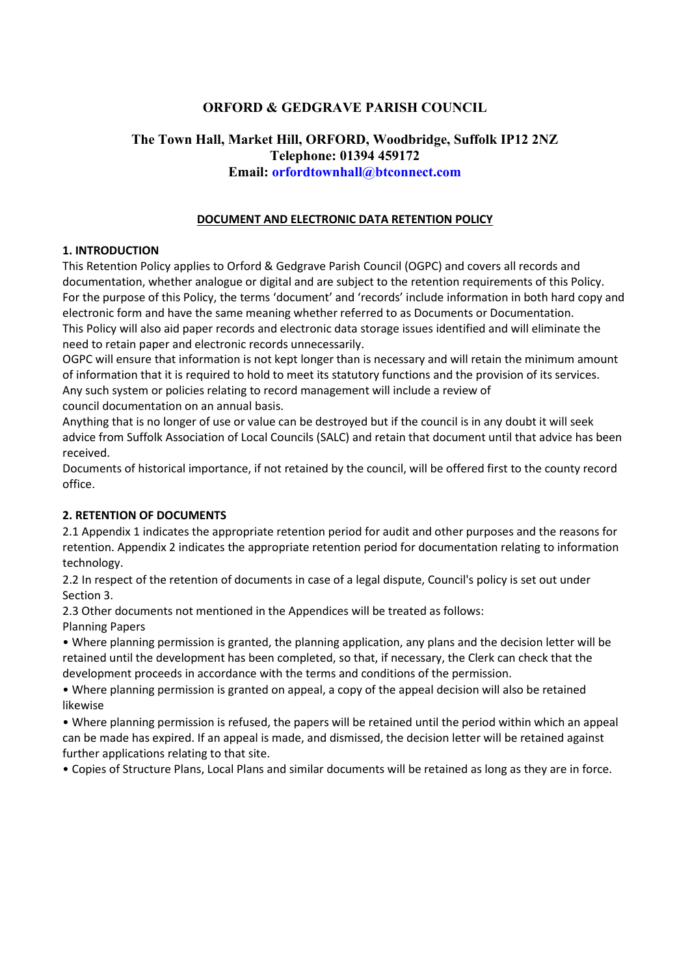# **ORFORD & GEDGRAVE PARISH COUNCIL**

# **The Town Hall, Market Hill, ORFORD, Woodbridge, Suffolk IP12 2NZ Telephone: 01394 459172 Email: orfordtownhall@btconnect.com**

## **DOCUMENT AND ELECTRONIC DATA RETENTION POLICY**

## **1. INTRODUCTION**

This Retention Policy applies to Orford & Gedgrave Parish Council (OGPC) and covers all records and documentation, whether analogue or digital and are subject to the retention requirements of this Policy. For the purpose of this Policy, the terms 'document' and 'records' include information in both hard copy and electronic form and have the same meaning whether referred to as Documents or Documentation. This Policy will also aid paper records and electronic data storage issues identified and will eliminate the need to retain paper and electronic records unnecessarily.

OGPC will ensure that information is not kept longer than is necessary and will retain the minimum amount of information that it is required to hold to meet its statutory functions and the provision of its services. Any such system or policies relating to record management will include a review of council documentation on an annual basis.

Anything that is no longer of use or value can be destroyed but if the council is in any doubt it will seek advice from Suffolk Association of Local Councils (SALC) and retain that document until that advice has been received.

Documents of historical importance, if not retained by the council, will be offered first to the county record office.

#### **2. RETENTION OF DOCUMENTS**

2.1 Appendix 1 indicates the appropriate retention period for audit and other purposes and the reasons for retention. Appendix 2 indicates the appropriate retention period for documentation relating to information technology.

2.2 In respect of the retention of documents in case of a legal dispute, Council's policy is set out under Section 3.

2.3 Other documents not mentioned in the Appendices will be treated as follows:

Planning Papers

• Where planning permission is granted, the planning application, any plans and the decision letter will be retained until the development has been completed, so that, if necessary, the Clerk can check that the development proceeds in accordance with the terms and conditions of the permission.

• Where planning permission is granted on appeal, a copy of the appeal decision will also be retained likewise

• Where planning permission is refused, the papers will be retained until the period within which an appeal can be made has expired. If an appeal is made, and dismissed, the decision letter will be retained against further applications relating to that site.

• Copies of Structure Plans, Local Plans and similar documents will be retained as long as they are in force.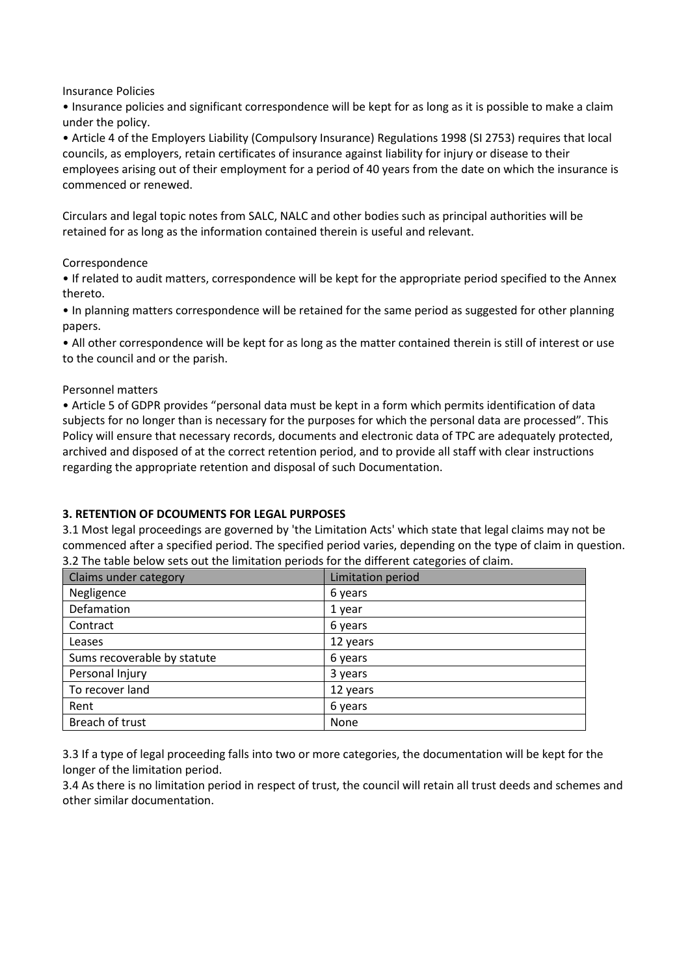Insurance Policies

• Insurance policies and significant correspondence will be kept for as long as it is possible to make a claim under the policy.

• Article 4 of the Employers Liability (Compulsory Insurance) Regulations 1998 (SI 2753) requires that local councils, as employers, retain certificates of insurance against liability for injury or disease to their employees arising out of their employment for a period of 40 years from the date on which the insurance is commenced or renewed.

Circulars and legal topic notes from SALC, NALC and other bodies such as principal authorities will be retained for as long as the information contained therein is useful and relevant.

#### Correspondence

• If related to audit matters, correspondence will be kept for the appropriate period specified to the Annex thereto.

• In planning matters correspondence will be retained for the same period as suggested for other planning papers.

• All other correspondence will be kept for as long as the matter contained therein is still of interest or use to the council and or the parish.

#### Personnel matters

• Article 5 of GDPR provides "personal data must be kept in a form which permits identification of data subjects for no longer than is necessary for the purposes for which the personal data are processed". This Policy will ensure that necessary records, documents and electronic data of TPC are adequately protected, archived and disposed of at the correct retention period, and to provide all staff with clear instructions regarding the appropriate retention and disposal of such Documentation.

## **3. RETENTION OF DCOUMENTS FOR LEGAL PURPOSES**

3.1 Most legal proceedings are governed by 'the Limitation Acts' which state that legal claims may not be commenced after a specified period. The specified period varies, depending on the type of claim in question. 3.2 The table below sets out the limitation periods for the different categories of claim.

| Claims under category       | Limitation period |
|-----------------------------|-------------------|
| Negligence                  | 6 years           |
| Defamation                  | 1 year            |
| Contract                    | 6 years           |
| Leases                      | 12 years          |
| Sums recoverable by statute | 6 years           |
| Personal Injury             | 3 years           |
| To recover land             | 12 years          |
| Rent                        | 6 years           |
| Breach of trust             | None              |

3.3 If a type of legal proceeding falls into two or more categories, the documentation will be kept for the longer of the limitation period.

3.4 As there is no limitation period in respect of trust, the council will retain all trust deeds and schemes and other similar documentation.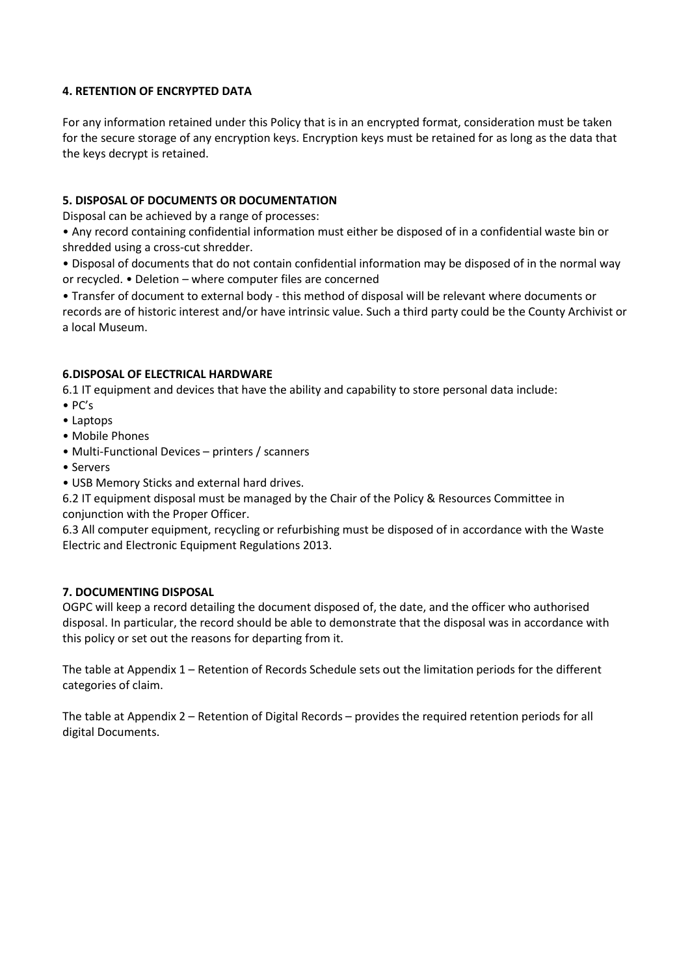## **4. RETENTION OF ENCRYPTED DATA**

For any information retained under this Policy that is in an encrypted format, consideration must be taken for the secure storage of any encryption keys. Encryption keys must be retained for as long as the data that the keys decrypt is retained.

## **5. DISPOSAL OF DOCUMENTS OR DOCUMENTATION**

Disposal can be achieved by a range of processes:

• Any record containing confidential information must either be disposed of in a confidential waste bin or shredded using a cross-cut shredder.

• Disposal of documents that do not contain confidential information may be disposed of in the normal way or recycled. • Deletion – where computer files are concerned

• Transfer of document to external body - this method of disposal will be relevant where documents or records are of historic interest and/or have intrinsic value. Such a third party could be the County Archivist or a local Museum.

## **6.DISPOSAL OF ELECTRICAL HARDWARE**

6.1 IT equipment and devices that have the ability and capability to store personal data include:

- PC's
- Laptops
- Mobile Phones
- Multi-Functional Devices printers / scanners
- Servers
- USB Memory Sticks and external hard drives.

6.2 IT equipment disposal must be managed by the Chair of the Policy & Resources Committee in conjunction with the Proper Officer.

6.3 All computer equipment, recycling or refurbishing must be disposed of in accordance with the Waste Electric and Electronic Equipment Regulations 2013.

#### **7. DOCUMENTING DISPOSAL**

OGPC will keep a record detailing the document disposed of, the date, and the officer who authorised disposal. In particular, the record should be able to demonstrate that the disposal was in accordance with this policy or set out the reasons for departing from it.

The table at Appendix 1 – Retention of Records Schedule sets out the limitation periods for the different categories of claim.

The table at Appendix 2 – Retention of Digital Records – provides the required retention periods for all digital Documents.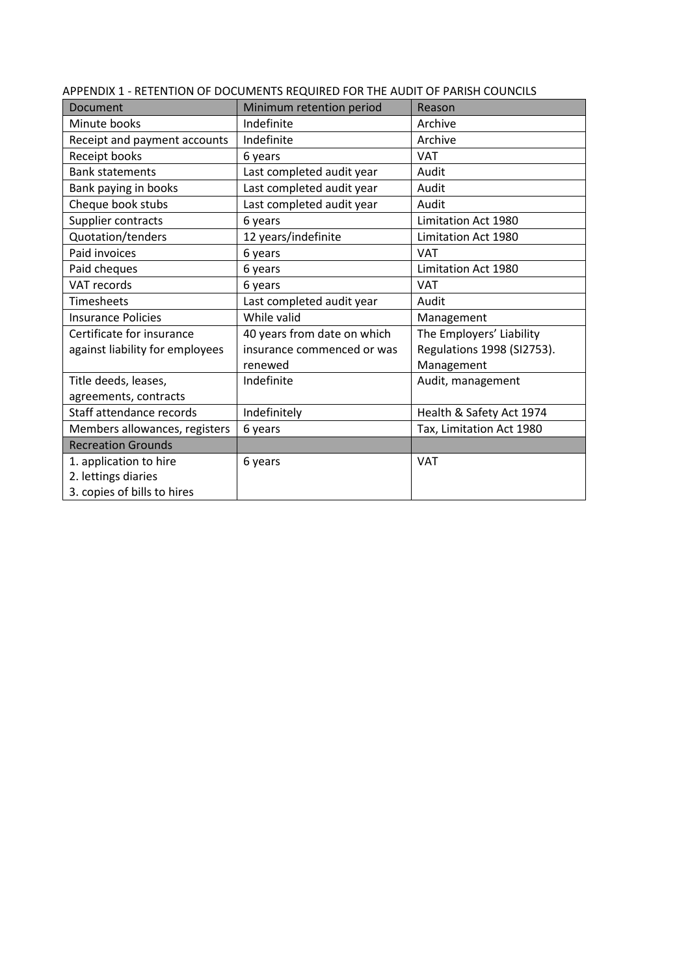| Document                        | Minimum retention period    | Reason                     |
|---------------------------------|-----------------------------|----------------------------|
| Minute books                    | Indefinite                  | Archive                    |
| Receipt and payment accounts    | Indefinite                  | Archive                    |
| Receipt books                   | 6 years                     | <b>VAT</b>                 |
| <b>Bank statements</b>          | Last completed audit year   | Audit                      |
| Bank paying in books            | Last completed audit year   | Audit                      |
| Cheque book stubs               | Last completed audit year   | Audit                      |
| Supplier contracts              | 6 years                     | Limitation Act 1980        |
| Quotation/tenders               | 12 years/indefinite         | Limitation Act 1980        |
| Paid invoices                   | 6 years                     | <b>VAT</b>                 |
| Paid cheques                    | 6 years                     | Limitation Act 1980        |
| <b>VAT records</b>              | 6 years                     | <b>VAT</b>                 |
| <b>Timesheets</b>               | Last completed audit year   | Audit                      |
| <b>Insurance Policies</b>       | While valid                 | Management                 |
| Certificate for insurance       | 40 years from date on which | The Employers' Liability   |
| against liability for employees | insurance commenced or was  | Regulations 1998 (SI2753). |
|                                 | renewed                     | Management                 |
| Title deeds, leases,            | Indefinite                  | Audit, management          |
| agreements, contracts           |                             |                            |
| Staff attendance records        | Indefinitely                | Health & Safety Act 1974   |
| Members allowances, registers   | 6 years                     | Tax, Limitation Act 1980   |
| <b>Recreation Grounds</b>       |                             |                            |
| 1. application to hire          | 6 years                     | <b>VAT</b>                 |
| 2. lettings diaries             |                             |                            |
| 3. copies of bills to hires     |                             |                            |

APPENDIX 1 - RETENTION OF DOCUMENTS REQUIRED FOR THE AUDIT OF PARISH COUNCILS